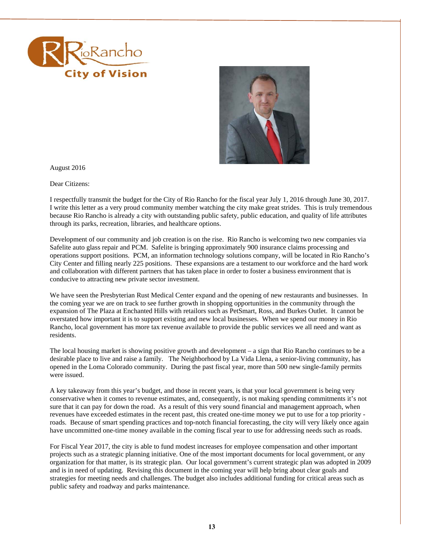



August 2016

Dear Citizens:

I respectfully transmit the budget for the City of Rio Rancho for the fiscal year July 1, 2016 through June 30, 2017. I write this letter as a very proud community member watching the city make great strides. This is truly tremendous because Rio Rancho is already a city with outstanding public safety, public education, and quality of life attributes through its parks, recreation, libraries, and healthcare options.

Development of our community and job creation is on the rise. Rio Rancho is welcoming two new companies via Safelite auto glass repair and PCM. Safelite is bringing approximately 900 insurance claims processing and operations support positions. PCM, an information technology solutions company, will be located in Rio Rancho's City Center and filling nearly 225 positions. These expansions are a testament to our workforce and the hard work and collaboration with different partners that has taken place in order to foster a business environment that is conducive to attracting new private sector investment.

We have seen the Presbyterian Rust Medical Center expand and the opening of new restaurants and businesses. In the coming year we are on track to see further growth in shopping opportunities in the community through the expansion of The Plaza at Enchanted Hills with retailors such as PetSmart, Ross, and Burkes Outlet. It cannot be overstated how important it is to support existing and new local businesses. When we spend our money in Rio Rancho, local government has more tax revenue available to provide the public services we all need and want as residents.

The local housing market is showing positive growth and development – a sign that Rio Rancho continues to be a desirable place to live and raise a family. The Neighborhood by La Vida Llena, a senior-living community, has opened in the Loma Colorado community. During the past fiscal year, more than 500 new single-family permits were issued.

A key takeaway from this year's budget, and those in recent years, is that your local government is being very conservative when it comes to revenue estimates, and, consequently, is not making spending commitments it's not sure that it can pay for down the road. As a result of this very sound financial and management approach, when revenues have exceeded estimates in the recent past, this created one-time money we put to use for a top priority roads. Because of smart spending practices and top-notch financial forecasting, the city will very likely once again have uncommitted one-time money available in the coming fiscal year to use for addressing needs such as roads.

For Fiscal Year 2017, the city is able to fund modest increases for employee compensation and other important projects such as a strategic planning initiative. One of the most important documents for local government, or any organization for that matter, is its strategic plan. Our local government's current strategic plan was adopted in 2009 and is in need of updating. Revising this document in the coming year will help bring about clear goals and strategies for meeting needs and challenges. The budget also includes additional funding for critical areas such as public safety and roadway and parks maintenance.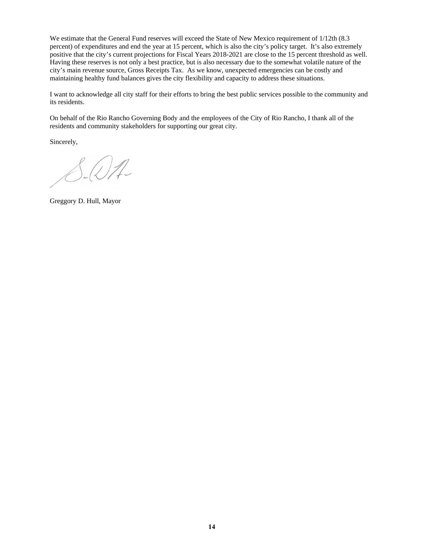We estimate that the General Fund reserves will exceed the State of New Mexico requirement of  $1/12$ th (8.3) percent) of expenditures and end the year at 15 percent, which is also the city's policy target. It's also extremely positive that the city's current projections for Fiscal Years 2018-2021 are close to the 15 percent threshold as well. Having these reserves is not only a best practice, but is also necessary due to the somewhat volatile nature of the city's main revenue source, Gross Receipts Tax. As we know, unexpected emergencies can be costly and maintaining healthy fund balances gives the city flexibility and capacity to address these situations.

I want to acknowledge all city staff for their efforts to bring the best public services possible to the community and its residents.

On behalf of the Rio Rancho Governing Body and the employees of the City of Rio Rancho, I thank all of the residents and community stakeholders for supporting our great city.

Sincerely,

 $\mathbb{Z}(\sqrt{7})$ 

Greggory D. Hull, Mayor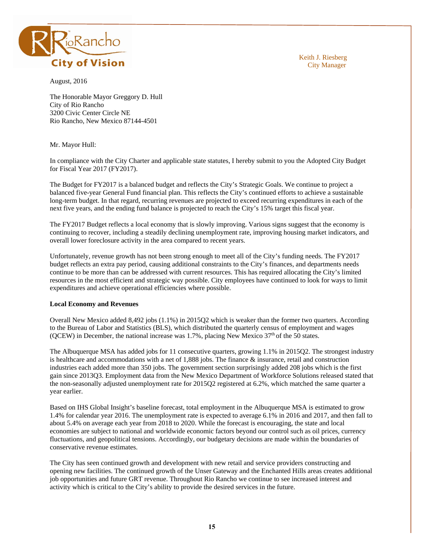

Keith J. Riesberg

August, 2016

The Honorable Mayor Greggory D. Hull City of Rio Rancho 3200 Civic Center Circle NE Rio Rancho, New Mexico 87144-4501

Mr. Mayor Hull:

In compliance with the City Charter and applicable state statutes, I hereby submit to you the Adopted City Budget for Fiscal Year 2017 (FY2017).

The Budget for FY2017 is a balanced budget and reflects the City's Strategic Goals. We continue to project a balanced five-year General Fund financial plan. This reflects the City's continued efforts to achieve a sustainable long-term budget. In that regard, recurring revenues are projected to exceed recurring expenditures in each of the next five years, and the ending fund balance is projected to reach the City's 15% target this fiscal year.

The FY2017 Budget reflects a local economy that is slowly improving. Various signs suggest that the economy is continuing to recover, including a steadily declining unemployment rate, improving housing market indicators, and overall lower foreclosure activity in the area compared to recent years.

Unfortunately, revenue growth has not been strong enough to meet all of the City's funding needs. The FY2017 budget reflects an extra pay period, causing additional constraints to the City's finances, and departments needs continue to be more than can be addressed with current resources. This has required allocating the City's limited resources in the most efficient and strategic way possible. City employees have continued to look for ways to limit expenditures and achieve operational efficiencies where possible.

# **Local Economy and Revenues**

Overall New Mexico added 8,492 jobs (1.1%) in 2015Q2 which is weaker than the former two quarters. According to the Bureau of Labor and Statistics (BLS), which distributed the quarterly census of employment and wages (OCEW) in December, the national increase was 1.7%, placing New Mexico  $37<sup>th</sup>$  of the 50 states.

The Albuquerque MSA has added jobs for 11 consecutive quarters, growing 1.1% in 2015Q2. The strongest industry is healthcare and accommodations with a net of 1,888 jobs. The finance  $\&$  insurance, retail and construction industries each added more than 350 jobs. The government section surprisingly added 208 jobs which is the first gain since 2013Q3. Employment data from the New Mexico Department of Workforce Solutions released stated that the non-seasonally adjusted unemployment rate for 2015Q2 registered at 6.2%, which matched the same quarter a year earlier.

Based on IHS Global Insight's baseline forecast, total employment in the Albuquerque MSA is estimated to grow 1.4% for calendar year 2016. The unemployment rate is expected to average 6.1% in 2016 and 2017, and then fall to about 5.4% on average each year from 2018 to 2020. While the forecast is encouraging, the state and local economies are subject to national and worldwide economic factors beyond our control such as oil prices, currency fluctuations, and geopolitical tensions. Accordingly, our budgetary decisions are made within the boundaries of conservative revenue estimates.

The City has seen continued growth and development with new retail and service providers constructing and opening new facilities. The continued growth of the Unser Gateway and the Enchanted Hills areas creates additional job opportunities and future GRT revenue. Throughout Rio Rancho we continue to see increased interest and activity which is critical to the City's ability to provide the desired services in the future.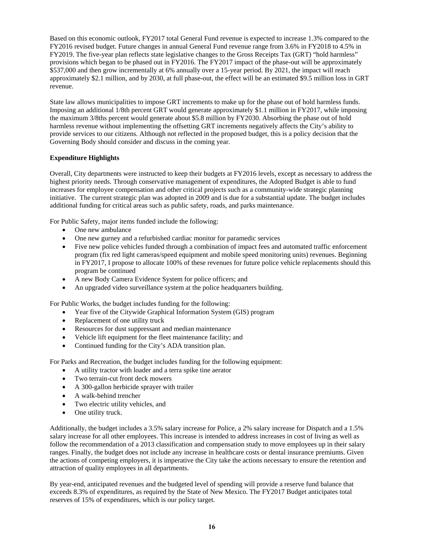Based on this economic outlook, FY2017 total General Fund revenue is expected to increase 1.3% compared to the FY2016 revised budget. Future changes in annual General Fund revenue range from 3.6% in FY2018 to 4.5% in FY2019. The five-year plan reflects state legislative changes to the Gross Receipts Tax (GRT) "hold harmless" provisions which began to be phased out in FY2016. The FY2017 impact of the phase-out will be approximately \$537,000 and then grow incrementally at 6% annually over a 15-year period. By 2021, the impact will reach approximately \$2.1 million, and by 2030, at full phase-out, the effect will be an estimated \$9.5 million loss in GRT revenue.

State law allows municipalities to impose GRT increments to make up for the phase out of hold harmless funds. Imposing an additional 1/8th percent GRT would generate approximately \$1.1 million in FY2017, while imposing the maximum 3/8ths percent would generate about \$5.8 million by FY2030. Absorbing the phase out of hold harmless revenue without implementing the offsetting GRT increments negatively affects the City's ability to provide services to our citizens. Although not reflected in the proposed budget, this is a policy decision that the Governing Body should consider and discuss in the coming year.

# **Expenditure Highlights**

Overall, City departments were instructed to keep their budgets at FY2016 levels, except as necessary to address the highest priority needs. Through conservative management of expenditures, the Adopted Budget is able to fund increases for employee compensation and other critical projects such as a community-wide strategic planning initiative. The current strategic plan was adopted in 2009 and is due for a substantial update. The budget includes additional funding for critical areas such as public safety, roads, and parks maintenance.

For Public Safety, major items funded include the following:

- One new ambulance
- One new gurney and a refurbished cardiac monitor for paramedic services
- Five new police vehicles funded through a combination of impact fees and automated traffic enforcement program (fix red light cameras/speed equipment and mobile speed monitoring units) revenues. Beginning in FY2017, I propose to allocate 100% of these revenues for future police vehicle replacements should this program be continued
- A new Body Camera Evidence System for police officers; and
- An upgraded video surveillance system at the police headquarters building.

For Public Works, the budget includes funding for the following:

- Year five of the Citywide Graphical Information System (GIS) program
- Replacement of one utility truck
- Resources for dust suppressant and median maintenance
- Vehicle lift equipment for the fleet maintenance facility; and
- Continued funding for the City's ADA transition plan.

For Parks and Recreation, the budget includes funding for the following equipment:

- A utility tractor with loader and a terra spike tine aerator
- Two terrain-cut front deck mowers
- A 300-gallon herbicide sprayer with trailer
- A walk-behind trencher
- Two electric utility vehicles, and
- One utility truck.

Additionally, the budget includes a 3.5% salary increase for Police, a 2% salary increase for Dispatch and a 1.5% salary increase for all other employees. This increase is intended to address increases in cost of living as well as follow the recommendation of a 2013 classification and compensation study to move employees up in their salary ranges. Finally, the budget does not include any increase in healthcare costs or dental insurance premiums. Given the actions of competing employers, it is imperative the City take the actions necessary to ensure the retention and attraction of quality employees in all departments.

By year-end, anticipated revenues and the budgeted level of spending will provide a reserve fund balance that exceeds 8.3% of expenditures, as required by the State of New Mexico. The FY2017 Budget anticipates total reserves of 15% of expenditures, which is our policy target.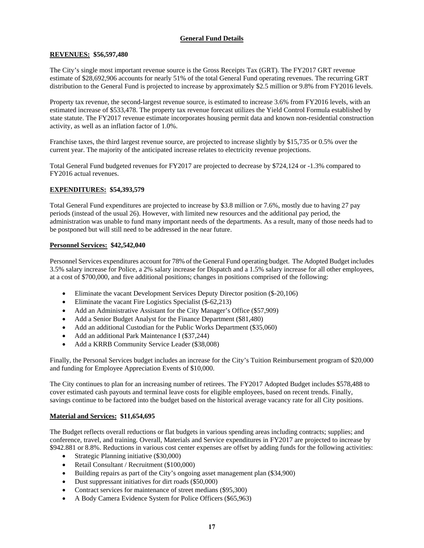# **General Fund Details**

# **REVENUES: \$56,597,480**

The City's single most important revenue source is the Gross Receipts Tax (GRT). The FY2017 GRT revenue estimate of \$28,692,906 accounts for nearly 51% of the total General Fund operating revenues. The recurring GRT distribution to the General Fund is projected to increase by approximately \$2.5 million or 9.8% from FY2016 levels.

Property tax revenue, the second-largest revenue source, is estimated to increase 3.6% from FY2016 levels, with an estimated increase of \$533,478. The property tax revenue forecast utilizes the Yield Control Formula established by state statute. The FY2017 revenue estimate incorporates housing permit data and known non-residential construction activity, as well as an inflation factor of 1.0%.

Franchise taxes, the third largest revenue source, are projected to increase slightly by \$15,735 or 0.5% over the current year. The majority of the anticipated increase relates to electricity revenue projections.

Total General Fund budgeted revenues for FY2017 are projected to decrease by \$724,124 or -1.3% compared to FY2016 actual revenues.

# **EXPENDITURES: \$54,393,579**

Total General Fund expenditures are projected to increase by \$3.8 million or 7.6%, mostly due to having 27 pay periods (instead of the usual 26). However, with limited new resources and the additional pay period, the administration was unable to fund many important needs of the departments. As a result, many of those needs had to be postponed but will still need to be addressed in the near future.

# **Personnel Services: \$42,542,040**

Personnel Services expenditures account for 78% of the General Fund operating budget. The Adopted Budget includes 3.5% salary increase for Police, a 2% salary increase for Dispatch and a 1.5% salary increase for all other employees, at a cost of \$700,000, and five additional positions; changes in positions comprised of the following:

- Eliminate the vacant Development Services Deputy Director position (\$-20,106)
- Eliminate the vacant Fire Logistics Specialist (\$-62,213)
- Add an Administrative Assistant for the City Manager's Office (\$57,909)
- Add a Senior Budget Analyst for the Finance Department (\$81,480)
- Add an additional Custodian for the Public Works Department (\$35,060)
- Add an additional Park Maintenance I (\$37,244)
- Add a KRRB Community Service Leader (\$38,008)

Finally, the Personal Services budget includes an increase for the City's Tuition Reimbursement program of \$20,000 and funding for Employee Appreciation Events of \$10,000.

The City continues to plan for an increasing number of retirees. The FY2017 Adopted Budget includes \$578,488 to cover estimated cash payouts and terminal leave costs for eligible employees, based on recent trends. Finally, savings continue to be factored into the budget based on the historical average vacancy rate for all City positions.

# **Material and Services: \$11,654,695**

The Budget reflects overall reductions or flat budgets in various spending areas including contracts; supplies; and conference, travel, and training. Overall, Materials and Service expenditures in FY2017 are projected to increase by \$942.881 or 8.8%. Reductions in various cost center expenses are offset by adding funds for the following activities:

- Strategic Planning initiative (\$30,000)
- Retail Consultant / Recruitment (\$100,000)
- Building repairs as part of the City's ongoing asset management plan (\$34,900)
- Dust suppressant initiatives for dirt roads (\$50,000)
- Contract services for maintenance of street medians (\$95,300)
- A Body Camera Evidence System for Police Officers (\$65,963)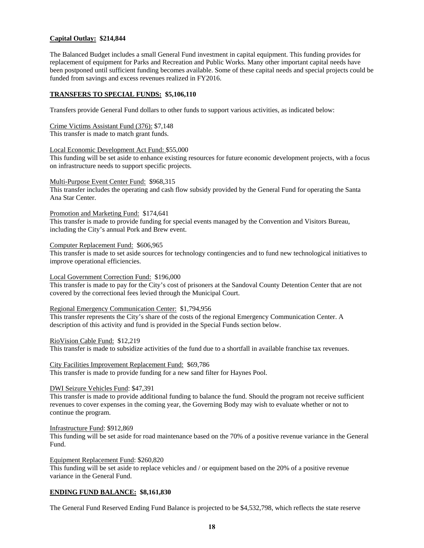# **Capital Outlay: \$214,844**

The Balanced Budget includes a small General Fund investment in capital equipment. This funding provides for replacement of equipment for Parks and Recreation and Public Works. Many other important capital needs have been postponed until sufficient funding becomes available. Some of these capital needs and special projects could be funded from savings and excess revenues realized in FY2016.

## **TRANSFERS TO SPECIAL FUNDS: \$5,106,110**

Transfers provide General Fund dollars to other funds to support various activities, as indicated below:

Crime Victims Assistant Fund (376): \$7,148 This transfer is made to match grant funds.

### Local Economic Development Act Fund: \$55,000

This funding will be set aside to enhance existing resources for future economic development projects, with a focus on infrastructure needs to support specific projects.

### Multi-Purpose Event Center Fund: \$968,315

This transfer includes the operating and cash flow subsidy provided by the General Fund for operating the Santa Ana Star Center.

### Promotion and Marketing Fund: \$174,641

This transfer is made to provide funding for special events managed by the Convention and Visitors Bureau, including the City's annual Pork and Brew event.

### Computer Replacement Fund: \$606,965

This transfer is made to set aside sources for technology contingencies and to fund new technological initiatives to improve operational efficiencies.

### Local Government Correction Fund: \$196,000

This transfer is made to pay for the City's cost of prisoners at the Sandoval County Detention Center that are not covered by the correctional fees levied through the Municipal Court.

## Regional Emergency Communication Center: \$1,794,956

This transfer represents the City's share of the costs of the regional Emergency Communication Center. A description of this activity and fund is provided in the Special Funds section below.

### RioVision Cable Fund: \$12,219

This transfer is made to subsidize activities of the fund due to a shortfall in available franchise tax revenues.

# City Facilities Improvement Replacement Fund: \$69,786

This transfer is made to provide funding for a new sand filter for Haynes Pool.

## DWI Seizure Vehicles Fund: \$47,391

This transfer is made to provide additional funding to balance the fund. Should the program not receive sufficient revenues to cover expenses in the coming year, the Governing Body may wish to evaluate whether or not to continue the program.

#### Infrastructure Fund: \$912,869

This funding will be set aside for road maintenance based on the 70% of a positive revenue variance in the General Fund.

#### Equipment Replacement Fund: \$260,820

This funding will be set aside to replace vehicles and / or equipment based on the 20% of a positive revenue variance in the General Fund.

## **ENDING FUND BALANCE: \$8,161,830**

The General Fund Reserved Ending Fund Balance is projected to be \$4,532,798, which reflects the state reserve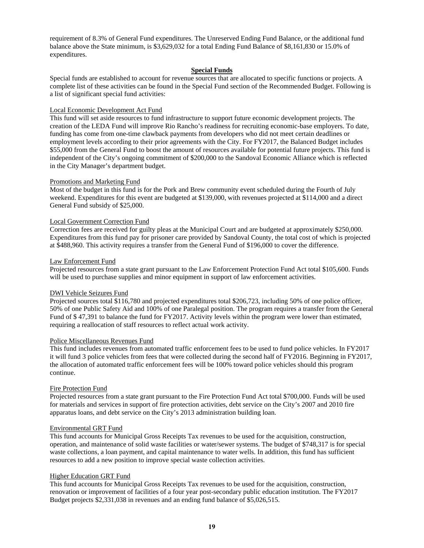requirement of 8.3% of General Fund expenditures. The Unreserved Ending Fund Balance, or the additional fund balance above the State minimum, is \$3,629,032 for a total Ending Fund Balance of \$8,161,830 or 15.0% of expenditures.

### **Special Funds**

Special funds are established to account for revenue sources that are allocated to specific functions or projects. A complete list of these activities can be found in the Special Fund section of the Recommended Budget. Following is a list of significant special fund activities:

## Local Economic Development Act Fund

This fund will set aside resources to fund infrastructure to support future economic development projects. The creation of the LEDA Fund will improve Rio Rancho's readiness for recruiting economic-base employers. To date, funding has come from one-time clawback payments from developers who did not meet certain deadlines or employment levels according to their prior agreements with the City. For FY2017, the Balanced Budget includes \$55,000 from the General Fund to boost the amount of resources available for potential future projects. This fund is independent of the City's ongoing commitment of \$200,000 to the Sandoval Economic Alliance which is reflected in the City Manager's department budget.

## Promotions and Marketing Fund

Most of the budget in this fund is for the Pork and Brew community event scheduled during the Fourth of July weekend. Expenditures for this event are budgeted at \$139,000, with revenues projected at \$114,000 and a direct General Fund subsidy of \$25,000.

#### Local Government Correction Fund

Correction fees are received for guilty pleas at the Municipal Court and are budgeted at approximately \$250,000. Expenditures from this fund pay for prisoner care provided by Sandoval County, the total cost of which is projected at \$488,960. This activity requires a transfer from the General Fund of \$196,000 to cover the difference.

#### Law Enforcement Fund

Projected resources from a state grant pursuant to the Law Enforcement Protection Fund Act total \$105,600. Funds will be used to purchase supplies and minor equipment in support of law enforcement activities.

### DWI Vehicle Seizures Fund

Projected sources total \$116,780 and projected expenditures total \$206,723, including 50% of one police officer, 50% of one Public Safety Aid and 100% of one Paralegal position. The program requires a transfer from the General Fund of \$ 47,391 to balance the fund for FY2017. Activity levels within the program were lower than estimated, requiring a reallocation of staff resources to reflect actual work activity.

#### Police Miscellaneous Revenues Fund

This fund includes revenues from automated traffic enforcement fees to be used to fund police vehicles. In FY2017 it will fund 3 police vehicles from fees that were collected during the second half of FY2016. Beginning in FY2017, the allocation of automated traffic enforcement fees will be 100% toward police vehicles should this program continue.

### Fire Protection Fund

Projected resources from a state grant pursuant to the Fire Protection Fund Act total \$700,000. Funds will be used for materials and services in support of fire protection activities, debt service on the City's 2007 and 2010 fire apparatus loans, and debt service on the City's 2013 administration building loan.

#### Environmental GRT Fund

This fund accounts for Municipal Gross Receipts Tax revenues to be used for the acquisition, construction, operation, and maintenance of solid waste facilities or water/sewer systems. The budget of \$748,317 is for special waste collections, a loan payment, and capital maintenance to water wells. In addition, this fund has sufficient resources to add a new position to improve special waste collection activities.

#### Higher Education GRT Fund

This fund accounts for Municipal Gross Receipts Tax revenues to be used for the acquisition, construction, renovation or improvement of facilities of a four year post-secondary public education institution. The FY2017 Budget projects \$2,331,038 in revenues and an ending fund balance of \$5,026,515.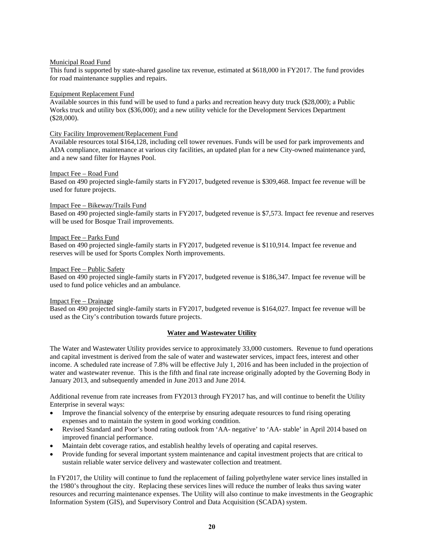## Municipal Road Fund

This fund is supported by state-shared gasoline tax revenue, estimated at \$618,000 in FY2017. The fund provides for road maintenance supplies and repairs.

### Equipment Replacement Fund

Available sources in this fund will be used to fund a parks and recreation heavy duty truck (\$28,000); a Public Works truck and utility box (\$36,000); and a new utility vehicle for the Development Services Department (\$28,000).

# City Facility Improvement/Replacement Fund

Available resources total \$164,128, including cell tower revenues. Funds will be used for park improvements and ADA compliance, maintenance at various city facilities, an updated plan for a new City-owned maintenance yard, and a new sand filter for Haynes Pool.

## Impact Fee – Road Fund

Based on 490 projected single-family starts in FY2017, budgeted revenue is \$309,468. Impact fee revenue will be used for future projects.

# Impact Fee – Bikeway/Trails Fund

Based on 490 projected single-family starts in FY2017, budgeted revenue is \$7,573. Impact fee revenue and reserves will be used for Bosque Trail improvements.

## Impact Fee – Parks Fund

Based on 490 projected single-family starts in FY2017, budgeted revenue is \$110,914. Impact fee revenue and reserves will be used for Sports Complex North improvements.

### Impact Fee – Public Safety

Based on 490 projected single-family starts in FY2017, budgeted revenue is \$186,347. Impact fee revenue will be used to fund police vehicles and an ambulance.

### Impact Fee – Drainage

Based on 490 projected single-family starts in FY2017, budgeted revenue is \$164,027. Impact fee revenue will be used as the City's contribution towards future projects.

# **Water and Wastewater Utility**

The Water and Wastewater Utility provides service to approximately 33,000 customers. Revenue to fund operations and capital investment is derived from the sale of water and wastewater services, impact fees, interest and other income. A scheduled rate increase of 7.8% will be effective July 1, 2016 and has been included in the projection of water and wastewater revenue. This is the fifth and final rate increase originally adopted by the Governing Body in January 2013, and subsequently amended in June 2013 and June 2014.

Additional revenue from rate increases from FY2013 through FY2017 has, and will continue to benefit the Utility Enterprise in several ways:

- Improve the financial solvency of the enterprise by ensuring adequate resources to fund rising operating expenses and to maintain the system in good working condition.
- Revised Standard and Poor's bond rating outlook from 'AA- negative' to 'AA- stable' in April 2014 based on improved financial performance.
- Maintain debt coverage ratios, and establish healthy levels of operating and capital reserves.
- Provide funding for several important system maintenance and capital investment projects that are critical to sustain reliable water service delivery and wastewater collection and treatment.

In FY2017, the Utility will continue to fund the replacement of failing polyethylene water service lines installed in the 1980's throughout the city. Replacing these services lines will reduce the number of leaks thus saving water resources and recurring maintenance expenses. The Utility will also continue to make investments in the Geographic Information System (GIS), and Supervisory Control and Data Acquisition (SCADA) system.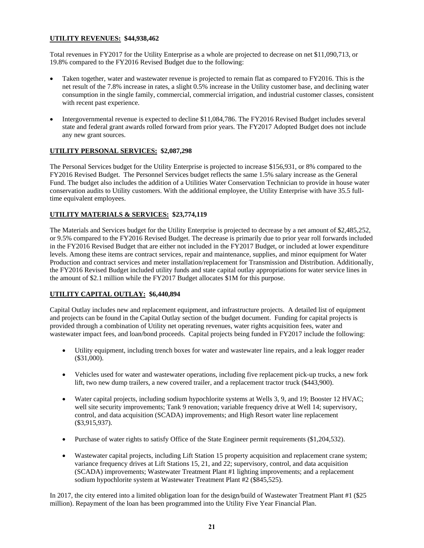# **UTILITY REVENUES: \$44,938,462**

Total revenues in FY2017 for the Utility Enterprise as a whole are projected to decrease on net \$11,090,713, or 19.8% compared to the FY2016 Revised Budget due to the following:

- Taken together, water and wastewater revenue is projected to remain flat as compared to FY2016. This is the net result of the 7.8% increase in rates, a slight 0.5% increase in the Utility customer base, and declining water consumption in the single family, commercial, commercial irrigation, and industrial customer classes, consistent with recent past experience.
- Intergovernmental revenue is expected to decline \$11,084,786. The FY2016 Revised Budget includes several state and federal grant awards rolled forward from prior years. The FY2017 Adopted Budget does not include any new grant sources.

# **UTILITY PERSONAL SERVICES: \$2,087,298**

The Personal Services budget for the Utility Enterprise is projected to increase \$156,931, or 8% compared to the FY2016 Revised Budget. The Personnel Services budget reflects the same 1.5% salary increase as the General Fund. The budget also includes the addition of a Utilities Water Conservation Technician to provide in house water conservation audits to Utility customers. With the additional employee, the Utility Enterprise with have 35.5 fulltime equivalent employees.

# **UTILITY MATERIALS & SERVICES: \$23,774,119**

The Materials and Services budget for the Utility Enterprise is projected to decrease by a net amount of \$2,485,252, or 9.5% compared to the FY2016 Revised Budget. The decrease is primarily due to prior year roll forwards included in the FY2016 Revised Budget that are either not included in the FY2017 Budget, or included at lower expenditure levels. Among these items are contract services, repair and maintenance, supplies, and minor equipment for Water Production and contract services and meter installation/replacement for Transmission and Distribution. Additionally, the FY2016 Revised Budget included utility funds and state capital outlay appropriations for water service lines in the amount of \$2.1 million while the FY2017 Budget allocates \$1M for this purpose.

# **UTILITY CAPITAL OUTLAY: \$6,440,894**

Capital Outlay includes new and replacement equipment, and infrastructure projects. A detailed list of equipment and projects can be found in the Capital Outlay section of the budget document. Funding for capital projects is provided through a combination of Utility net operating revenues, water rights acquisition fees, water and wastewater impact fees, and loan/bond proceeds. Capital projects being funded in FY2017 include the following:

- Utility equipment, including trench boxes for water and wastewater line repairs, and a leak logger reader (\$31,000).
- Vehicles used for water and wastewater operations, including five replacement pick-up trucks, a new fork lift, two new dump trailers, a new covered trailer, and a replacement tractor truck (\$443,900).
- Water capital projects, including sodium hypochlorite systems at Wells 3, 9, and 19; Booster 12 HVAC; well site security improvements; Tank 9 renovation; variable frequency drive at Well 14; supervisory, control, and data acquisition (SCADA) improvements; and High Resort water line replacement (\$3,915,937).
- Purchase of water rights to satisfy Office of the State Engineer permit requirements (\$1,204,532).
- Wastewater capital projects, including Lift Station 15 property acquisition and replacement crane system; variance frequency drives at Lift Stations 15, 21, and 22; supervisory, control, and data acquisition (SCADA) improvements; Wastewater Treatment Plant #1 lighting improvements; and a replacement sodium hypochlorite system at Wastewater Treatment Plant #2 (\$845,525).

In 2017, the city entered into a limited obligation loan for the design/build of Wastewater Treatment Plant #1 (\$25 million). Repayment of the loan has been programmed into the Utility Five Year Financial Plan.